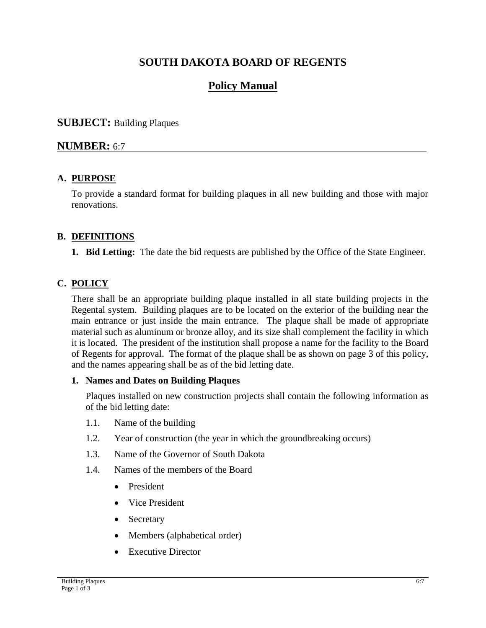# **SOUTH DAKOTA BOARD OF REGENTS**

# **Policy Manual**

## **SUBJECT:** Building Plaques

# **NUMBER:** 6:7

## **A. PURPOSE**

To provide a standard format for building plaques in all new building and those with major renovations.

## **B. DEFINITIONS**

**1. Bid Letting:** The date the bid requests are published by the Office of the State Engineer.

# **C. POLICY**

There shall be an appropriate building plaque installed in all state building projects in the Regental system. Building plaques are to be located on the exterior of the building near the main entrance or just inside the main entrance. The plaque shall be made of appropriate material such as aluminum or bronze alloy, and its size shall complement the facility in which it is located. The president of the institution shall propose a name for the facility to the Board of Regents for approval. The format of the plaque shall be as shown on page 3 of this policy, and the names appearing shall be as of the bid letting date.

## **1. Names and Dates on Building Plaques**

Plaques installed on new construction projects shall contain the following information as of the bid letting date:

- 1.1. Name of the building
- 1.2. Year of construction (the year in which the groundbreaking occurs)
- 1.3. Name of the Governor of South Dakota
- 1.4. Names of the members of the Board
	- President
	- Vice President
	- Secretary
	- Members (alphabetical order)
	- Executive Director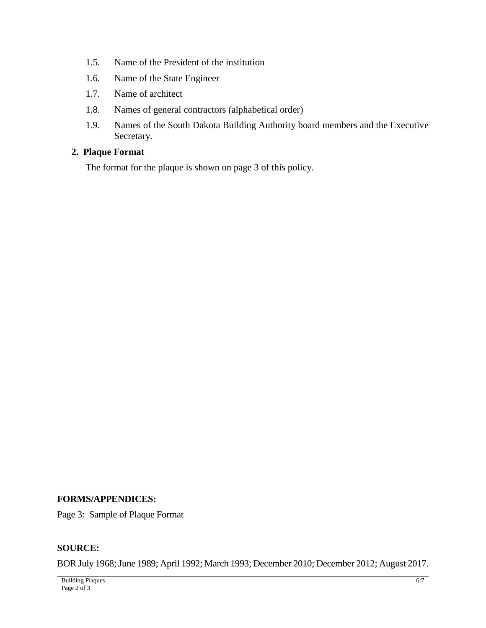- 1.5. Name of the President of the institution
- 1.6. Name of the State Engineer
- 1.7. Name of architect
- 1.8. Names of general contractors (alphabetical order)
- 1.9. Names of the South Dakota Building Authority board members and the Executive Secretary.

# **2. Plaque Format**

The format for the plaque is shown on page 3 of this policy.

### **FORMS/APPENDICES:**

Page 3: Sample of Plaque Format

## **SOURCE:**

BOR July 1968; June 1989; April 1992; March 1993; December 2010; December 2012; August 2017.